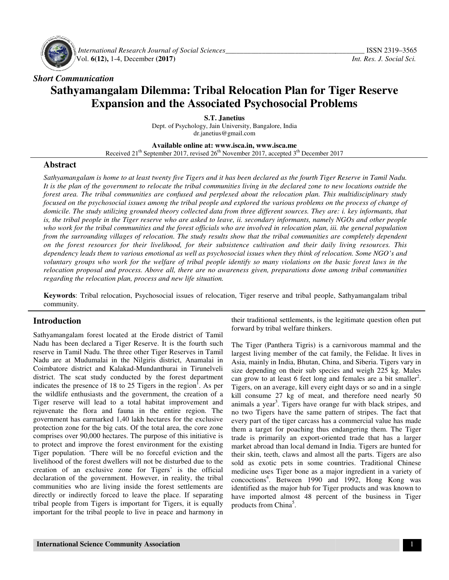

 *International Research Journal Journal of Social Sciences\_\_\_\_\_\_\_\_\_\_\_\_\_\_\_\_\_\_\_\_\_\_\_\_\_\_\_\_\_\_\_\_\_\_\_* Vol. **6(12),** 1-4, December **(2017)**

#### *Short Communication*

# **Sathyamangalam Dilemma: Tribal Relocation Plan for Tiger Reserve**  rangalam Dilemma: Tribal Relocation Plan for Tiger<br>Expansion and the Associated Psychosocial Problems

Dept. of Psychology, Jain University, Bangalore, India **S.T. Janetius**  dr.janetius@gmail.com

**Available Available online at: www.isca.in, www.isca.me**  Received 21<sup>th</sup> September 2017, revised 26<sup>th</sup> November 2017, accepted 3<sup>th</sup> December 2017

#### **Abstract**

*Sathyamangalam is home to at least twenty five Tigers and it has been declared as the fourth Tiger Reserve in Tamil Nadu. It is the plan of the government to relocate the tribal communities living in the declared zone to new locations outside the forest area. The tribal communities are confused and perplexed about the relocation plan. This multidisciplinary study focused on the psychosocial issues among the tribal people and explored the various problems on the process of change of domicile. The study utilizing grounded theory collected data from three different sources. They are: i. key informants, that is, the tribal people in the Tiger reserve who are asked to leave, ii. secondary informants, namely NGOs and other people who work for the tribal communities and the fore from the surrounding villages of relocation. The study results show that the tribal communities are completely dependent on the forest resources for their livelihood, for their s forest for their for subsistence cultivation and their daily living resources. This*  who work for the tribal communities and the forest officials who are involved in relocation plan, iii. the general population<br>from the surrounding villages of relocation. The study results show that the tribal communities dependency leads them to various emotional as well as psychosocial issues when they think of relocation. Some NGO's and<br>voluntary groups who work for the welfare of tribal people identify so many violations on the basic fo relocation proposal and process. Above all, there are no awareness given, preparations done among tribal communities<br>regarding the relocation plan, process and new life situation. *regarding the relocation plan, process and new life situation.* angalam is home to at least twenty five Tigers and it has been declared as the fourth Tiger Reserve in Tamil Na<br>plan of the government to relocate the tribal communities living in the declared zone to new locations outside *d* on the psychosocial issues among the tribal people and explored the various problems on the process of change of<br>le. The study utilizing grounded theory collected data from three different sources. They are: i. key inf

**Keywords**: Tribal relocation, Psychosocial issues of relocation, Tiger reserve and tribal people, Sathyamangalam tribal community.

### **Introduction**

Sathyamangalam forest located at the Erode district of Tamil Nadu has been declared a Tiger Reserve. It is the fourth such reserve in Tamil Nadu. The three other Tiger Reserves in Tamil Nadu are at Mudumalai in the Nilgiris district, Anamalai in Coimbatore district and Kalakad-Mundanthurai in Tirunelveli district. The scat study conducted by the forest department indicates the presence of 18 to 25 Tigers in the region . As per the wildlife enthusiasts and the government, the creation of a Tiger reserve will lead to a total habitat improvement and rejuvenate the flora and fauna in the entire region. The government has earmarked 1,40 lakh hectares for the exclusive protection zone for the big cats. Of the total area, the core zone comprises over 90,000 hectares. The purpose of this initiative is to protect and improve the forest environment for the existing Tiger population. 'There will be no forceful eviction and the livelihood of the forest dwellers will not be disturbed due to the creation of an exclusive zone for Tigers' is the official livelihood of the forest dwellers will not be disturbed due to the creation of an exclusive zone for Tigers' declaration of the government. However, in reality, the tribal communities who are living inside the forest settlements are directly or indirectly forced to leave the place. If separating declaration of the government. However, in reality, the tribal communities who are living inside the forest settlements are directly or indirectly forced to leave the place. If separating tribal people from Tigers is impor important for the tribal people to live in peace and harmony in **Tribal relocation, Psychosocial issues of relocation, Tiger reserve and tribal people, Sathyamangalam community.**<br> **Introduction**<br> **Introduction**<br> **Introduction**<br> **Introduction**<br> **Introduction**<br> **INERE TREADU BE TREADU TH** the wildlife enthusiasts and the government, the creation of a Tiger reserve will lead to a total habitat improvement and rejuvenate the flora and fauna in the entire region. The government has earmarked 1,40 lakh hectares

forward by tribal welfare thinkers.

the Erode district of Tamil<br>
forward by tribal welfare thinkers.<br>
forevard by tribal welfare thinkers.<br>
Reserve. It is the fourth such The Tiger (Panthera Tigris) is a carnivorous mammal and the<br>
orbetr Tiger Reserves in T The Tiger (Panthera Tigris) is a carnivorous mammal and the largest living member of the cat family, the Felidae. It lives in Asia, mainly in India, Bhutan, China, and Siberia. Tigers vary in size depending on their sub species and weigh 225 kg. Males can grow to at least 6 feet long and females are a bit smaller . Tigers, on an average, kill every eight days or so and in a single kill consume 27 kg of meat, and therefore need nearly 50 animals a year<sup>3</sup>. Tigers have orange fur with black stripes, and no two Tigers have the same pattern of stripes. The fact that every part of the tiger carcass has a commercial value has made them a target for poaching thus endangering them. The Tiger trade is primarily an export-oriented trade that has a larger market abroad than local demand in India. Tigers are hunted for their skin, teeth, claws and almost all the parts. Tigers are also sold as exotic pets in some countries. Traditional Chinese medicine uses Tiger bone as a major ingredient in a variety of their skin, teeth, claws and almost all the parts. Tigers are also sold as exotic pets in some countries. Traditional Chinese medicine uses Tiger bone as a major ingredient in a variety of concoctions<sup>4</sup>. Between 1990 and identified as the major hub for Tiger products and was known to identified as the major hub for Tiger products and was known to have imported almost 48 percent of the business in Tiger products from China<sup>5</sup>. ditional settlements, is the legitimate question often pu<br>l by tribal welfare thinkers.<br>ger (Panthera Tigris) is a carnivorous mammal and the<br>living member of the cat family, the Felidae. It lives in<br>ainly in India, Bhutan rs, on an average, kill every eight days or so and in a single consume 27 kg of meat, and therefore need nearly 50 als a year<sup>3</sup>. Tigers have orange fur with black stripes, and wo Tigers have the same pattern of stripes. T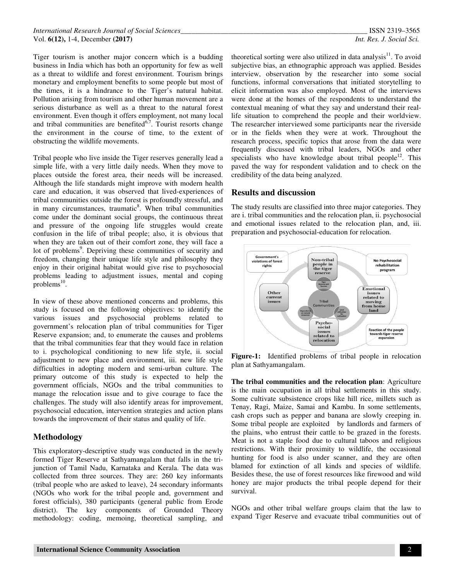Tiger tourism is another major concern which is a budding business in India which has both an opportunity for few as well as a threat to wildlife and forest environment. Tourism brings monetary and employment benefits to some people but most of the times, it is a hindrance to the Tiger's natural habitat. Pollution arising from tourism and other human movement are a serious disturbance as well as a threat to the natural forest environment. Even though it offers employment, not many local and tribal communities are benefited $6,7$ . Tourist resorts change the environment in the course of time, to the extent of obstructing the wildlife movements.

Tribal people who live inside the Tiger reserves generally lead a simple life, with a very little daily needs. When they move to places outside the forest area, their needs will be increased. Although the life standards might improve with modern health care and education, it was observed that lived-experiences of tribal communities outside the forest is profoundly stressful, and in many circumstances, traumatic<sup>8</sup>. When tribal communities come under the dominant social groups, the continuous threat and pressure of the ongoing life struggles would create confusion in the life of tribal people; also, it is obvious that when they are taken out of their comfort zone, they will face a lot of problems<sup>9</sup>. Depriving these communities of security and freedom, changing their unique life style and philosophy they enjoy in their original habitat would give rise to psychosocial problems leading to adjustment issues, mental and coping  $problems<sup>10</sup>$ .

In view of these above mentioned concerns and problems, this study is focused on the following objectives: to identify the various issues and psychosocial problems related to government's relocation plan of tribal communities for Tiger Reserve expansion; and, to enumerate the causes and problems that the tribal communities fear that they would face in relation to i. psychological conditioning to new life style, ii. social adjustment to new place and environment, iii. new life style difficulties in adopting modern and semi-urban culture. The primary outcome of this study is expected to help the government officials, NGOs and the tribal communities to manage the relocation issue and to give courage to face the challenges. The study will also identify areas for improvement, psychosocial education, intervention strategies and action plans towards the improvement of their status and quality of life.

### **Methodology**

This exploratory-descriptive study was conducted in the newly formed Tiger Reserve at Sathyamangalam that falls in the trijunction of Tamil Nadu, Karnataka and Kerala. The data was collected from three sources. They are: 260 key informants (tribal people who are asked to leave), 24 secondary informants (NGOs who work for the tribal people and, government and forest officials), 380 participants (general public from Erode district). The key components of Grounded Theory methodology: coding, memoing, theoretical sampling, and theoretical sorting were also utilized in data analysis $11$ . To avoid subjective bias, an ethnographic approach was applied. Besides interview, observation by the researcher into some social functions, informal conversations that initiated storytelling to elicit information was also employed. Most of the interviews were done at the homes of the respondents to understand the contextual meaning of what they say and understand their reallife situation to comprehend the people and their worldview. The researcher interviewed some participants near the riverside or in the fields when they were at work. Throughout the research process, specific topics that arose from the data were frequently discussed with tribal leaders, NGOs and other specialists who have knowledge about tribal people<sup>12</sup>. This paved the way for respondent validation and to check on the credibility of the data being analyzed.

## **Results and discussion**

The study results are classified into three major categories. They are i. tribal communities and the relocation plan, ii. psychosocial and emotional issues related to the relocation plan, and, iii. preparation and psychosocial-education for relocation.



**Figure-1:** Identified problems of tribal people in relocation plan at Sathyamangalam.

**The tribal communities and the relocation plan**: Agriculture is the main occupation in all tribal settlements in this study. Some cultivate subsistence crops like hill rice, millets such as Tenay, Ragi, Maize, Samai and Kambu. In some settlements, cash crops such as pepper and banana are slowly creeping in. Some tribal people are exploited by landlords and farmers of the plains, who entrust their cattle to be grazed in the forests. Meat is not a staple food due to cultural taboos and religious restrictions. With their proximity to wildlife, the occasional hunting for food is also under scanner, and they are often blamed for extinction of all kinds and species of wildlife. Besides these, the use of forest resources like firewood and wild honey are major products the tribal people depend for their survival.

NGOs and other tribal welfare groups claim that the law to expand Tiger Reserve and evacuate tribal communities out of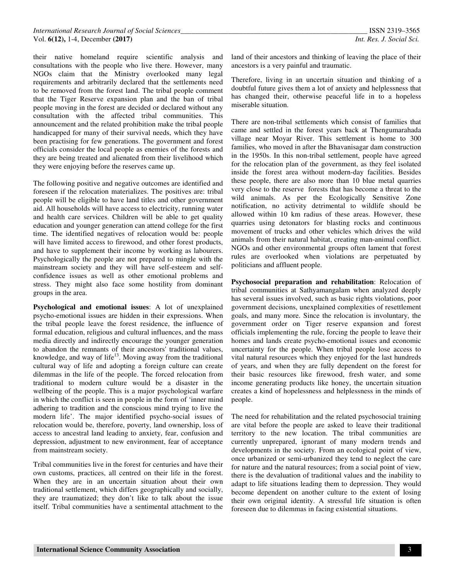their native homeland require scientific analysis and consultations with the people who live there. However, many NGOs claim that the Ministry overlooked many legal requirements and arbitrarily declared that the settlements need to be removed from the forest land. The tribal people comment that the Tiger Reserve expansion plan and the ban of tribal people moving in the forest are decided or declared without any consultation with the affected tribal communities. This announcement and the related prohibition make the tribal people handicapped for many of their survival needs, which they have been practising for few generations. The government and forest officials consider the local people as enemies of the forests and they are being treated and alienated from their livelihood which they were enjoying before the reserves came up.

The following positive and negative outcomes are identified and foreseen if the relocation materializes. The positives are: tribal people will be eligible to have land titles and other government aid. All households will have access to electricity, running water and health care services. Children will be able to get quality education and younger generation can attend college for the first time. The identified negatives of relocation would be: people will have limited access to firewood, and other forest products, and have to supplement their income by working as labourers. Psychologically the people are not prepared to mingle with the mainstream society and they will have self-esteem and selfconfidence issues as well as other emotional problems and stress. They might also face some hostility from dominant groups in the area.

**Psychological and emotional issues**: A lot of unexplained psycho-emotional issues are hidden in their expressions. When the tribal people leave the forest residence, the influence of formal education, religious and cultural influences, and the mass media directly and indirectly encourage the younger generation to abandon the remnants of their ancestors' traditional values, knowledge, and way of life<sup>13</sup>. Moving away from the traditional cultural way of life and adopting a foreign culture can create dilemmas in the life of the people. The forced relocation from traditional to modern culture would be a disaster in the wellbeing of the people. This is a major psychological warfare in which the conflict is seen in people in the form of 'inner mind adhering to tradition and the conscious mind trying to live the modern life'. The major identified psycho-social issues of relocation would be, therefore, poverty, land ownership, loss of access to ancestral land leading to anxiety, fear, confusion and depression, adjustment to new environment, fear of acceptance from mainstream society.

Tribal communities live in the forest for centuries and have their own customs, practices, all centred on their life in the forest. When they are in an uncertain situation about their own traditional settlement, which differs geographically and socially, they are traumatized; they don't like to talk about the issue itself. Tribal communities have a sentimental attachment to the

land of their ancestors and thinking of leaving the place of their ancestors is a very painful and traumatic.

Therefore, living in an uncertain situation and thinking of a doubtful future gives them a lot of anxiety and helplessness that has changed their, otherwise peaceful life in to a hopeless miserable situation.

There are non-tribal settlements which consist of families that came and settled in the forest years back at Thengumarahada village near Moyar River. This settlement is home to 300 families, who moved in after the Bhavanisagar dam construction in the 1950s. In this non-tribal settlement, people have agreed for the relocation plan of the government, as they feel isolated inside the forest area without modern-day facilities. Besides these people, there are also more than 10 blue metal quarries very close to the reserve forests that has become a threat to the wild animals. As per the Ecologically Sensitive Zone notification, no activity detrimental to wildlife should be allowed within 10 km radius of these areas. However, these quarries using detonators for blasting rocks and continuous movement of trucks and other vehicles which drives the wild animals from their natural habitat, creating man-animal conflict. NGOs and other environmental groups often lament that forest rules are overlooked when violations are perpetuated by politicians and affluent people.

**Psychosocial preparation and rehabilitation**: Relocation of tribal communities at Sathyamangalam when analyzed deeply has several issues involved, such as basic rights violations, poor government decisions, unexplained complexities of resettlement goals, and many more. Since the relocation is involuntary, the government order on Tiger reserve expansion and forest officials implementing the rule, forcing the people to leave their homes and lands create psycho-emotional issues and economic uncertainty for the people. When tribal people lose access to vital natural resources which they enjoyed for the last hundreds of years, and when they are fully dependent on the forest for their basic resources like firewood, fresh water, and some income generating products like honey, the uncertain situation creates a kind of hopelessness and helplessness in the minds of people.

The need for rehabilitation and the related psychosocial training are vital before the people are asked to leave their traditional territory to the new location. The tribal communities are currently unprepared, ignorant of many modern trends and developments in the society. From an ecological point of view, once urbanized or semi-urbanized they tend to neglect the care for nature and the natural resources; from a social point of view, there is the devaluation of traditional values and the inability to adapt to life situations leading them to depression. They would become dependent on another culture to the extent of losing their own original identity. A stressful life situation is often foreseen due to dilemmas in facing existential situations.